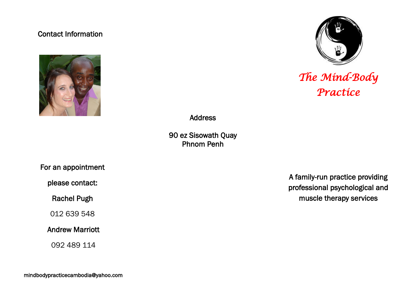## Contact Information





# *The Mind-Body Practice*

Address

90 ez Sisowath Quay Phnom Penh

For an appointment

please contact:

Rachel Pugh

012 639 548

## Andrew Marriott

092 489 114

A family-run practice providing professional psychological and muscle therapy services

mindbodypracticecambodia@yahoo.com